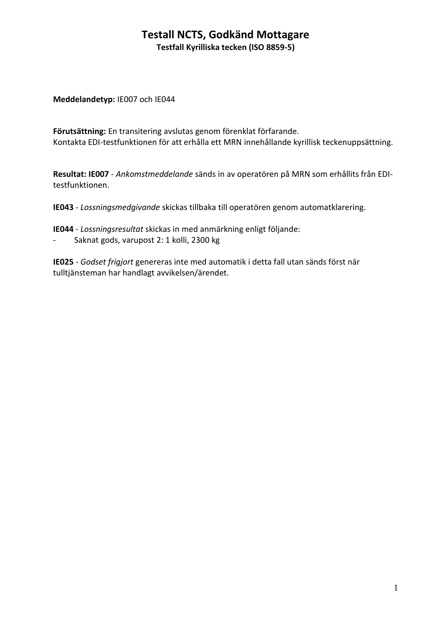#### **Testall NCTS, Godkänd Mottagare Testfall Kyrilliska tecken (ISO 8859-5)**

**Meddelandetyp:** IE007 och IE044

**Förutsättning:** En transitering avslutas genom förenklat förfarande. Kontakta EDI-testfunktionen för att erhålla ett MRN innehållande kyrillisk teckenuppsättning.

**Resultat: IE007** - *Ankomstmeddelande* sänds in av operatören på MRN som erhållits från EDItestfunktionen.

**IE043** - *Lossningsmedgivande* skickas tillbaka till operatören genom automatklarering.

**IE044** - *Lossningsresultat* skickas in med anmärkning enligt följande:

- Saknat gods, varupost 2: 1 kolli, 2300 kg

**IE025** - *Godset frigjort* genereras inte med automatik i detta fall utan sänds först när tulltjänsteman har handlagt avvikelsen/ärendet.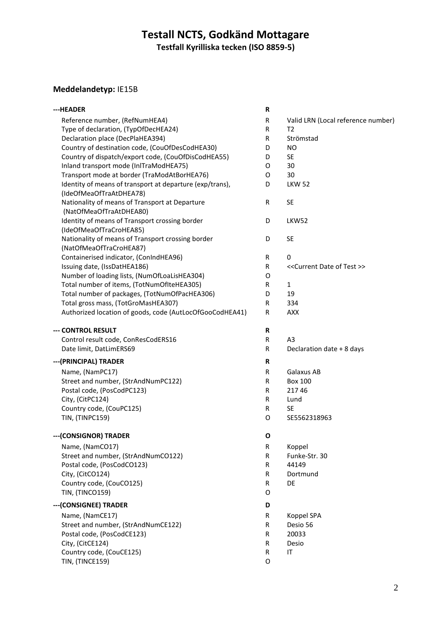# **Testall NCTS, Godkänd Mottagare Testfall Kyrilliska tecken (ISO 8859-5)**

# **Meddelandetyp:** IE15B

| ---HEADER                                                                           |              |                                                 |  |
|-------------------------------------------------------------------------------------|--------------|-------------------------------------------------|--|
| Reference number, (RefNumHEA4)                                                      | R            | Valid LRN (Local reference number)              |  |
| Type of declaration, (TypOfDecHEA24)                                                | R            | Т2                                              |  |
| Declaration place (DecPlaHEA394)                                                    | R            | Strömstad                                       |  |
| Country of destination code, (CouOfDesCodHEA30)                                     | D            | NO.                                             |  |
| Country of dispatch/export code, (CouOfDisCodHEA55)                                 | D            | <b>SE</b>                                       |  |
| Inland transport mode (InITraModHEA75)                                              | 0            | 30                                              |  |
| Transport mode at border (TraModAtBorHEA76)                                         | 0            | 30                                              |  |
| Identity of means of transport at departure (exp/trans),<br>(IdeOfMeaOfTraAtDHEA78) | D            | <b>LKW 52</b>                                   |  |
| Nationality of means of Transport at Departure<br>(NatOfMeaOfTraAtDHEA80)           | $\mathsf{R}$ | <b>SE</b>                                       |  |
| Identity of means of Transport crossing border<br>(IdeOfMeaOfTraCroHEA85)           | D            | LKW52                                           |  |
| Nationality of means of Transport crossing border<br>(NatOfMeaOfTraCroHEA87)        | D            | <b>SE</b>                                       |  |
| Containerised indicator, (ConIndHEA96)                                              | R            | 0                                               |  |
| Issuing date, (IssDatHEA186)                                                        | R            | < <current date="" of="" test="">&gt;</current> |  |
| Number of loading lists, (NumOfLoaLisHEA304)                                        | 0            |                                                 |  |
| Total number of items, (TotNumOfIteHEA305)                                          | R            | $\mathbf{1}$                                    |  |
| Total number of packages, (TotNumOfPacHEA306)                                       | D            | 19                                              |  |
| Total gross mass, (TotGroMasHEA307)                                                 | R            | 334                                             |  |
| Authorized location of goods, code (AutLocOfGooCodHEA41)                            | R            | <b>AXX</b>                                      |  |
| --- CONTROL RESULT                                                                  | R            |                                                 |  |
| Control result code, ConResCodERS16                                                 | R            | A3                                              |  |
| Date limit, DatLimERS69                                                             | R            | Declaration date + 8 days                       |  |
| --- (PRINCIPAL) TRADER                                                              |              |                                                 |  |
| Name, (NamPC17)                                                                     | R            | Galaxus AB                                      |  |
| Street and number, (StrAndNumPC122)                                                 | R            | <b>Box 100</b>                                  |  |
| Postal code, (PosCodPC123)                                                          | R            | 21746                                           |  |
| City, (CitPC124)                                                                    | R            | Lund                                            |  |
| Country code, (CouPC125)                                                            | R            | <b>SE</b>                                       |  |
| TIN, (TINPC159)                                                                     | O            | SE5562318963                                    |  |
| --- (CONSIGNOR) TRADER                                                              | O            |                                                 |  |
| Name, (NamCO17)                                                                     | ${\sf R}$    | Koppel                                          |  |
| Street and number, (StrAndNumCO122)                                                 | R            | Funke-Str. 30                                   |  |
| Postal code, (PosCodCO123)                                                          | R            | 44149                                           |  |
| City, (CitCO124)                                                                    | R            | Dortmund                                        |  |
| Country code, (CouCO125)                                                            | R            | <b>DE</b>                                       |  |
| TIN, (TINCO159)                                                                     | O            |                                                 |  |
| --- (CONSIGNEE) TRADER                                                              | D            |                                                 |  |
| Name, (NamCE17)                                                                     | R            | Koppel SPA                                      |  |
| Street and number, (StrAndNumCE122)                                                 | R            | Desio 56                                        |  |
| Postal code, (PosCodCE123)                                                          | R            | 20033                                           |  |
| City, (CitCE124)                                                                    | R            | Desio                                           |  |
| Country code, (CouCE125)                                                            | R            | IT                                              |  |
| TIN, (TINCE159)                                                                     | O            |                                                 |  |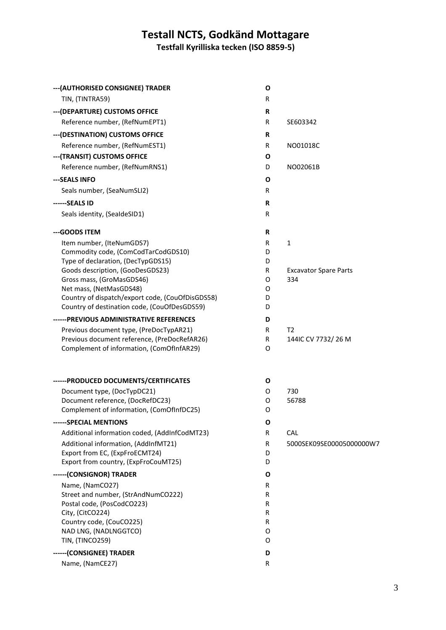# **Testall NCTS, Godkänd Mottagare**

**Testfall Kyrilliska tecken (ISO 8859-5)**

| --- (AUTHORISED CONSIGNEE) TRADER                                      | O           |                              |
|------------------------------------------------------------------------|-------------|------------------------------|
| TIN, (TINTRA59)                                                        | R           |                              |
| --- (DEPARTURE) CUSTOMS OFFICE                                         | R           |                              |
| Reference number, (RefNumEPT1)                                         | R           | SE603342                     |
| --- (DESTINATION) CUSTOMS OFFICE                                       | R           |                              |
| Reference number, (RefNumEST1)                                         | R           | NO01018C                     |
| --- (TRANSIT) CUSTOMS OFFICE                                           | Ο           |                              |
| Reference number, (RefNumRNS1)                                         | D           | NO02061B                     |
| --- SEALS INFO                                                         | 0           |                              |
| Seals number, (SeaNumSLI2)                                             | R           |                              |
| ------SEALS ID                                                         | $\mathbf R$ |                              |
| Seals identity, (SealdeSID1)                                           | R           |                              |
| --- GOODS ITEM                                                         | R           |                              |
| Item number, (IteNumGDS7)                                              | R           | $\mathbf{1}$                 |
| Commodity code, (ComCodTarCodGDS10)                                    | D           |                              |
| Type of declaration, (DecTypGDS15)<br>Goods description, (GooDesGDS23) | D<br>R      | <b>Excavator Spare Parts</b> |
| Gross mass, (GroMasGDS46)                                              | 0           | 334                          |
| Net mass, (NetMasGDS48)                                                | 0           |                              |
| Country of dispatch/export code, (CouOfDisGDS58)                       | D           |                              |
| Country of destination code, (CouOfDesGDS59)                           | D           |                              |
| ------PREVIOUS ADMINISTRATIVE REFERENCES                               | D           |                              |
| Previous document type, (PreDocTypAR21)                                | R           | T <sub>2</sub>               |
| Previous document reference, (PreDocRefAR26)                           | R           | 144IC CV 7732/26 M           |
| Complement of information, (ComOfInfAR29)                              | 0           |                              |
| ------ PRODUCED DOCUMENTS/CERTIFICATES                                 | O           |                              |
| Document type, (DocTypDC21)                                            | 0           | 730                          |
| Document reference, (DocRefDC23)                                       | 0           | 56788                        |
| Complement of information, (ComOfInfDC25)                              | 0           |                              |
| ------SPECIAL MENTIONS                                                 | O           |                              |
| Additional information coded, (AddInfCodMT23)                          | R           | <b>CAL</b>                   |
| Additional information, (AddInfMT21)                                   | R           | 5000SEK09SE00005000000W7     |
| Export from EC, (ExpFroECMT24)<br>Export from country, (ExpFroCouMT25) | D<br>D      |                              |
|                                                                        |             |                              |
| ------ (CONSIGNOR) TRADER<br>Name, (NamCO27)                           | 0<br>R      |                              |
| Street and number, (StrAndNumCO222)                                    | R           |                              |
| Postal code, (PosCodCO223)                                             | R           |                              |
| City, (CitCO224)                                                       | R           |                              |
| Country code, (CouCO225)                                               | R           |                              |
| NAD LNG, (NADLNGGTCO)                                                  | 0           |                              |
| TIN, (TINCO259)                                                        | 0           |                              |
| ------ (CONSIGNEE) TRADER                                              | D           |                              |
| Name, (NamCE27)                                                        | R           |                              |